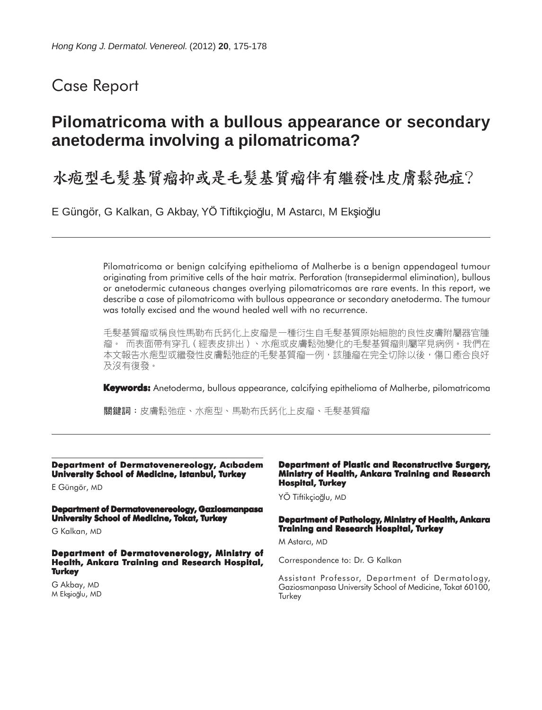# Case Report

# **Pilomatricoma with a bullous appearance or secondary anetoderma involving a pilomatricoma?**

水疱型毛髮基質瘤抑或是毛髮基質瘤伴有繼發性皮膚鬆弛症?

E Güngör, G Kalkan, G Akbay, YÖ Tiftikçioğlu, M Astarcı, M Ekşioğlu

Pilomatricoma or benign calcifying epithelioma of Malherbe is a benign appendageal tumour originating from primitive cells of the hair matrix. Perforation (transepidermal elimination), bullous or anetodermic cutaneous changes overlying pilomatricomas are rare events. In this report, we describe a case of pilomatricoma with bullous appearance or secondary anetoderma. The tumour was totally excised and the wound healed well with no recurrence.

毛髮基質瘤或稱良性馬勒布氏鈣化上皮瘤是一種衍生自毛髮基質原始細胞的良性皮膚附屬器官腫 瘤。 而表面帶有穿孔(經表皮排出)、水疱或皮膚鬆弛變化的毛髮基質瘤則屬罕見病例。我們在 本文報告水疱型或繼發性皮膚鬆弛症的毛髮基質瘤一例,該腫瘤在完全切除以後,傷口癒合良好 及沒有復發。

**Keywords:** Anetoderma, bullous appearance, calcifying epithelioma of Malherbe, pilomatricoma

關鍵詞:皮膚鬆弛症、水疱型、馬勒布氏鈣化上皮瘤、毛髮基質瘤

**Department of Dermatovenereology, Aclbadem University School of Medicine, Istanbul, Turkey**

E Güngör, MD

**Department of Dermatovenereology, Gaziosmanpasa University School of Medicine, Tokat, Turkey**

G Kalkan, MD

**Department of Dermatovenerology, Ministry of Health, Ankara Training and Research Hospital, Turkey**

G Akbay, MD M Eksioğlu, MD

#### **Department of Plastic and Reconstructive Surgery, Ministry of Health, Ankara Training and Research Hospital, Turkey**

YÖ Tiftikçioğlu, MD

#### **Department of Pathology, Ministry of Health, Ankara Training and Research Hospital, Turkey**

M Astarci, MD

Correspondence to: Dr. G Kalkan

Assistant Professor, Department of Dermatology, Gaziosmanpasa University School of Medicine, Tokat 60100, **Turkey**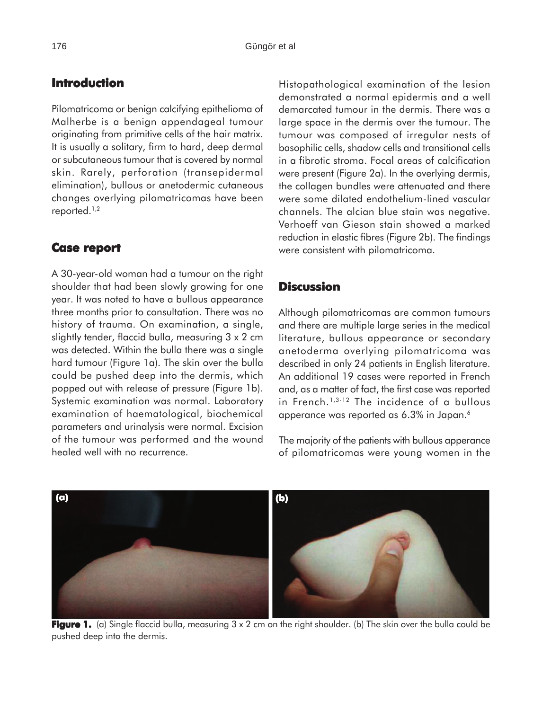## **Introduction**

Pilomatricoma or benign calcifying epithelioma of Malherbe is a benign appendageal tumour originating from primitive cells of the hair matrix. It is usually a solitary, firm to hard, deep dermal or subcutaneous tumour that is covered by normal skin. Rarely, perforation (transepidermal elimination), bullous or anetodermic cutaneous changes overlying pilomatricomas have been reported.1,2

### **Case report report**

A 30-year-old woman had a tumour on the right shoulder that had been slowly growing for one year. It was noted to have a bullous appearance three months prior to consultation. There was no history of trauma. On examination, a single, slightly tender, flaccid bulla, measuring 3 x 2 cm was detected. Within the bulla there was a single hard tumour (Figure 1a). The skin over the bulla could be pushed deep into the dermis, which popped out with release of pressure (Figure 1b). Systemic examination was normal. Laboratory examination of haematological, biochemical parameters and urinalysis were normal. Excision of the tumour was performed and the wound healed well with no recurrence.

**(a) (b)**

Histopathological examination of the lesion demonstrated a normal epidermis and a well demarcated tumour in the dermis. There was a large space in the dermis over the tumour. The tumour was composed of irregular nests of basophilic cells, shadow cells and transitional cells in a fibrotic stroma. Focal areas of calcification were present (Figure 2a). In the overlying dermis, the collagen bundles were attenuated and there were some dilated endothelium-lined vascular channels. The alcian blue stain was negative. Verhoeff van Gieson stain showed a marked reduction in elastic fibres (Figure 2b). The findings were consistent with pilomatricoma.

### **Discussion**

Although pilomatricomas are common tumours and there are multiple large series in the medical literature, bullous appearance or secondary anetoderma overlying pilomatricoma was described in only 24 patients in English literature. An additional 19 cases were reported in French and, as a matter of fact, the first case was reported in French.1,3-12 The incidence of a bullous apperance was reported as 6.3% in Japan.6

The majority of the patients with bullous apperance of pilomatricomas were young women in the



**Figure 1.** (a) Single flaccid bulla, measuring 3 x 2 cm on the right shoulder. (b) The skin over the bulla could be pushed deep into the dermis.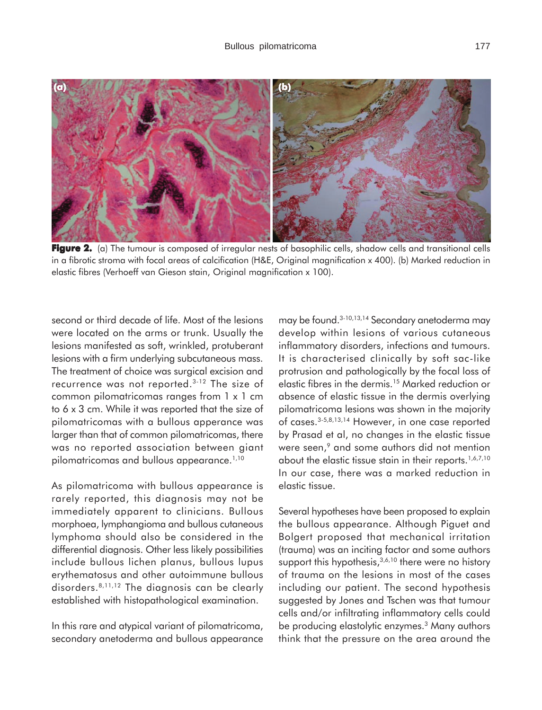

**Figure 2.** (a) The tumour is composed of irregular nests of basophilic cells, shadow cells and transitional cells in a fibrotic stroma with focal areas of calcification (H&E, Original magnification x 400). (b) Marked reduction in elastic fibres (Verhoeff van Gieson stain, Original magnification x 100).

second or third decade of life. Most of the lesions were located on the arms or trunk. Usually the lesions manifested as soft, wrinkled, protuberant lesions with a firm underlying subcutaneous mass. The treatment of choice was surgical excision and recurrence was not reported.3-12 The size of common pilomatricomas ranges from 1 x 1 cm to 6 x 3 cm. While it was reported that the size of pilomatricomas with a bullous apperance was larger than that of common pilomatricomas, there was no reported association between giant pilomatricomas and bullous appearance.<sup>1,10</sup>

As pilomatricoma with bullous appearance is rarely reported, this diagnosis may not be immediately apparent to clinicians. Bullous morphoea, lymphangioma and bullous cutaneous lymphoma should also be considered in the differential diagnosis. Other less likely possibilities include bullous lichen planus, bullous lupus erythematosus and other autoimmune bullous disorders.8,11,12 The diagnosis can be clearly established with histopathological examination.

In this rare and atypical variant of pilomatricoma, secondary anetoderma and bullous appearance may be found.3-10,13,14 Secondary anetoderma may develop within lesions of various cutaneous inflammatory disorders, infections and tumours. It is characterised clinically by soft sac-like protrusion and pathologically by the focal loss of elastic fibres in the dermis.15 Marked reduction or absence of elastic tissue in the dermis overlying pilomatricoma lesions was shown in the majority of cases.3-5,8,13,14 However, in one case reported by Prasad et al, no changes in the elastic tissue were seen,<sup>9</sup> and some authors did not mention about the elastic tissue stain in their reports.<sup>1,6,7,10</sup> In our case, there was a marked reduction in elastic tissue.

Several hypotheses have been proposed to explain the bullous appearance. Although Piguet and Bolgert proposed that mechanical irritation (trauma) was an inciting factor and some authors support this hypothesis,<sup>3,6,10</sup> there were no history of trauma on the lesions in most of the cases including our patient. The second hypothesis suggested by Jones and Tschen was that tumour cells and/or infiltrating inflammatory cells could be producing elastolytic enzymes.<sup>3</sup> Many authors think that the pressure on the area around the